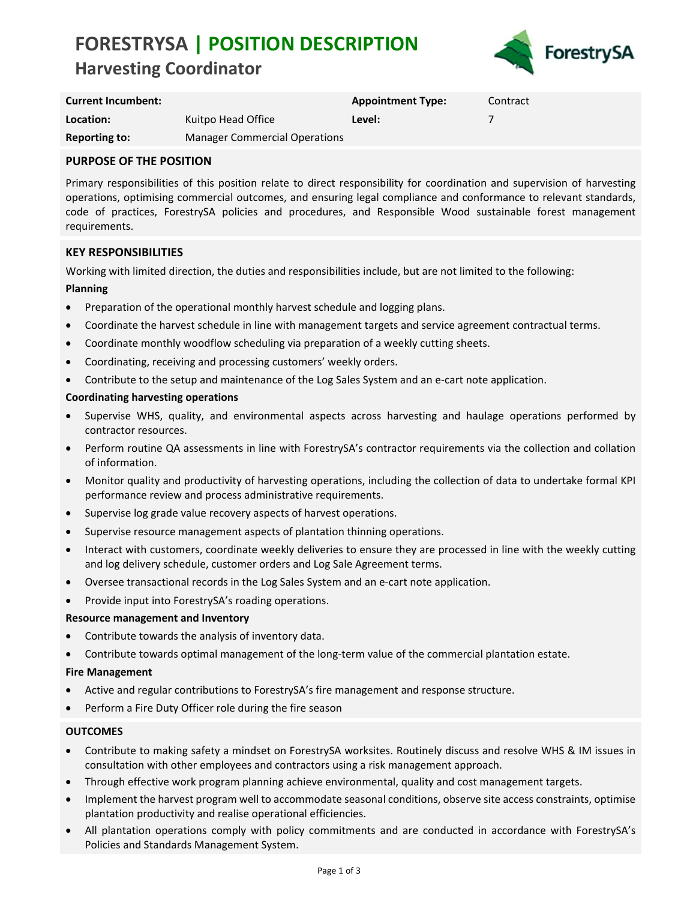# **FORESTRYSA | POSITION DESCRIPTION Harvesting Coordinator**



| <b>Current Incumbent:</b> |                                      | <b>Appointment Type:</b> | Contract |
|---------------------------|--------------------------------------|--------------------------|----------|
| Location:                 | Kuitpo Head Office                   | Level:                   |          |
| <b>Reporting to:</b>      | <b>Manager Commercial Operations</b> |                          |          |

### **PURPOSE OF THE POSITION**

Primary responsibilities of this position relate to direct responsibility for coordination and supervision of harvesting operations, optimising commercial outcomes, and ensuring legal compliance and conformance to relevant standards, code of practices, ForestrySA policies and procedures, and Responsible Wood sustainable forest management requirements.

### **KEY RESPONSIBILITIES**

Working with limited direction, the duties and responsibilities include, but are not limited to the following:

#### **Planning**

- Preparation of the operational monthly harvest schedule and logging plans.
- Coordinate the harvest schedule in line with management targets and service agreement contractual terms.
- Coordinate monthly woodflow scheduling via preparation of a weekly cutting sheets.
- Coordinating, receiving and processing customers' weekly orders.
- Contribute to the setup and maintenance of the Log Sales System and an e-cart note application.

#### **Coordinating harvesting operations**

- Supervise WHS, quality, and environmental aspects across harvesting and haulage operations performed by contractor resources.
- Perform routine QA assessments in line with ForestrySA's contractor requirements via the collection and collation of information.
- Monitor quality and productivity of harvesting operations, including the collection of data to undertake formal KPI performance review and process administrative requirements.
- Supervise log grade value recovery aspects of harvest operations.
- Supervise resource management aspects of plantation thinning operations.
- Interact with customers, coordinate weekly deliveries to ensure they are processed in line with the weekly cutting and log delivery schedule, customer orders and Log Sale Agreement terms.
- Oversee transactional records in the Log Sales System and an e‐cart note application.
- Provide input into ForestrySA's roading operations.

#### **Resource management and Inventory**

- Contribute towards the analysis of inventory data.
- Contribute towards optimal management of the long‐term value of the commercial plantation estate.

#### **Fire Management**

- Active and regular contributions to ForestrySA's fire management and response structure.
- Perform a Fire Duty Officer role during the fire season

### **OUTCOMES**

- Contribute to making safety a mindset on ForestrySA worksites. Routinely discuss and resolve WHS & IM issues in consultation with other employees and contractors using a risk management approach.
- Through effective work program planning achieve environmental, quality and cost management targets.
- Implement the harvest program well to accommodate seasonal conditions, observe site access constraints, optimise plantation productivity and realise operational efficiencies.
- All plantation operations comply with policy commitments and are conducted in accordance with ForestrySA's Policies and Standards Management System.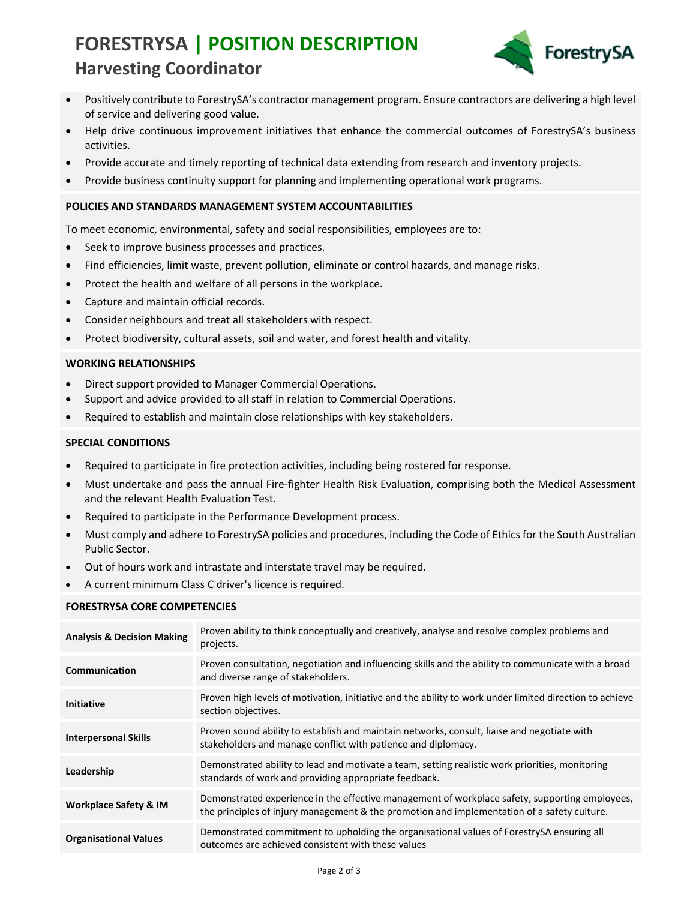# **FORESTRYSA | POSITION DESCRIPTION Harvesting Coordinator**



- Positively contribute to ForestrySA's contractor management program. Ensure contractors are delivering a high level of service and delivering good value.
- Help drive continuous improvement initiatives that enhance the commercial outcomes of ForestrySA's business activities.
- Provide accurate and timely reporting of technical data extending from research and inventory projects.
- Provide business continuity support for planning and implementing operational work programs.

#### **POLICIES AND STANDARDS MANAGEMENT SYSTEM ACCOUNTABILITIES**

To meet economic, environmental, safety and social responsibilities, employees are to:

- Seek to improve business processes and practices.
- Find efficiencies, limit waste, prevent pollution, eliminate or control hazards, and manage risks.
- Protect the health and welfare of all persons in the workplace.
- Capture and maintain official records.
- Consider neighbours and treat all stakeholders with respect.
- Protect biodiversity, cultural assets, soil and water, and forest health and vitality.

#### **WORKING RELATIONSHIPS**

- Direct support provided to Manager Commercial Operations.
- Support and advice provided to all staff in relation to Commercial Operations.
- Required to establish and maintain close relationships with key stakeholders.

#### **SPECIAL CONDITIONS**

- Required to participate in fire protection activities, including being rostered for response.
- Must undertake and pass the annual Fire‐fighter Health Risk Evaluation, comprising both the Medical Assessment and the relevant Health Evaluation Test.
- Required to participate in the Performance Development process.
- Must comply and adhere to ForestrySA policies and procedures, including the Code of Ethics for the South Australian Public Sector.
- Out of hours work and intrastate and interstate travel may be required.
- A current minimum Class C driver's licence is required.

#### **FORESTRYSA CORE COMPETENCIES**

| <b>Analysis &amp; Decision Making</b> | Proven ability to think conceptually and creatively, analyse and resolve complex problems and<br>projects.                                                                                    |
|---------------------------------------|-----------------------------------------------------------------------------------------------------------------------------------------------------------------------------------------------|
| Communication                         | Proven consultation, negotiation and influencing skills and the ability to communicate with a broad<br>and diverse range of stakeholders.                                                     |
| <b>Initiative</b>                     | Proven high levels of motivation, initiative and the ability to work under limited direction to achieve<br>section objectives.                                                                |
| <b>Interpersonal Skills</b>           | Proven sound ability to establish and maintain networks, consult, liaise and negotiate with<br>stakeholders and manage conflict with patience and diplomacy.                                  |
| Leadership                            | Demonstrated ability to lead and motivate a team, setting realistic work priorities, monitoring<br>standards of work and providing appropriate feedback.                                      |
| <b>Workplace Safety &amp; IM</b>      | Demonstrated experience in the effective management of workplace safety, supporting employees,<br>the principles of injury management & the promotion and implementation of a safety culture. |
| <b>Organisational Values</b>          | Demonstrated commitment to upholding the organisational values of ForestrySA ensuring all<br>outcomes are achieved consistent with these values                                               |